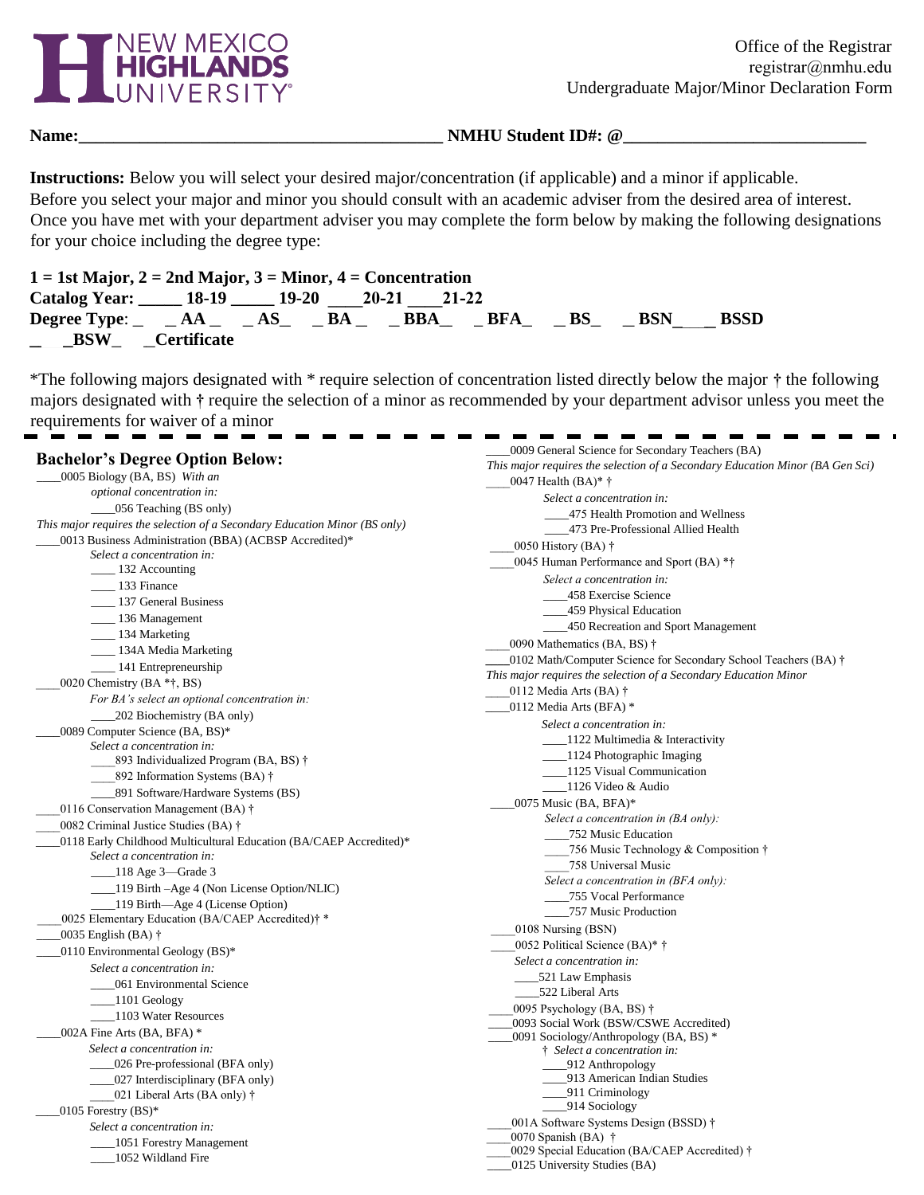

**Name:\_\_\_\_\_\_\_\_\_\_\_\_\_\_\_\_\_\_\_\_\_\_\_\_\_\_\_\_\_\_\_\_\_\_\_\_\_\_\_\_\_\_ NMHU Student ID#: @\_\_\_\_\_\_\_\_\_\_\_\_\_\_\_\_\_\_\_\_\_\_\_\_\_\_\_\_** 

**Instructions:** Below you will select your desired major/concentration (if applicable) and a minor if applicable. Before you select your major and minor you should consult with an academic adviser from the desired area of interest. Once you have met with your department adviser you may complete the form below by making the following designations for your choice including the degree type:

| $1 = 1$ st Major, $2 = 2$ nd Major, $3 =$ Minor, $4 =$ Concentration      |  |  |  |             |
|---------------------------------------------------------------------------|--|--|--|-------------|
| Catalog Year: 18-19 19-20 20-21 21-22                                     |  |  |  |             |
| Degree Type: $\_AA$ $\_AS$ $\_BS$ $\_BAA$ $\_BBAA$ $\_BFA$ $\_BS$ $\_BSN$ |  |  |  | <b>BSSD</b> |
| _BSW_ __Certificate                                                       |  |  |  |             |

\*The following majors designated with \* require selection of concentration listed directly below the major **†** the following majors designated with **†** require the selection of a minor as recommended by your department advisor unless you meet the requirements for waiver of a minor

|                                                                            | 0009 General Science for Secondary Teachers (BA)                                 |
|----------------------------------------------------------------------------|----------------------------------------------------------------------------------|
| <b>Bachelor's Degree Option Below:</b>                                     | This major requires the selection of a Secondary Education Minor (BA Gen Sci)    |
| 0005 Biology (BA, BS) With an                                              | 0047 Health $(BA)*†$                                                             |
| optional concentration in:                                                 | Select a concentration in:                                                       |
| _056 Teaching (BS only)                                                    | _475 Health Promotion and Wellness                                               |
| This major requires the selection of a Secondary Education Minor (BS only) | _473 Pre-Professional Allied Health                                              |
| 0013 Business Administration (BBA) (ACBSP Accredited)*                     | 0050 History (BA) $\dagger$                                                      |
| Select a concentration in:                                                 | 0045 Human Performance and Sport (BA) **                                         |
| $\frac{132}{2}$ Accounting                                                 | Select a concentration in:                                                       |
| ___ 133 Finance                                                            | 458 Exercise Science                                                             |
| ____ 137 General Business                                                  | 459 Physical Education                                                           |
| ___ 136 Management                                                         | 450 Recreation and Sport Management                                              |
| ___ 134 Marketing                                                          | 0090 Mathematics (BA, BS) †                                                      |
| ____ 134A Media Marketing                                                  | 10102 Math/Computer Science for Secondary School Teachers (BA) $\dagger$         |
| $141$ Entrepreneurship                                                     | This major requires the selection of a Secondary Education Minor                 |
| 0020 Chemistry (BA *†, BS)                                                 | 0112 Media Arts (BA) $\dagger$                                                   |
| For BA's select an optional concentration in:                              | _0112 Media Arts (BFA) *                                                         |
| 202 Biochemistry (BA only)                                                 |                                                                                  |
| 0089 Computer Science (BA, BS)*                                            | Select a concentration in:                                                       |
| Select a concentration in:                                                 | $\angle$ 1122 Multimedia & Interactivity                                         |
| 893 Individualized Program (BA, BS) †                                      | 1124 Photographic Imaging<br>1125 Visual Communication                           |
| 892 Information Systems (BA) †                                             | 1126 Video & Audio                                                               |
| 891 Software/Hardware Systems (BS)                                         |                                                                                  |
| 0116 Conservation Management (BA) $\dagger$                                | 0075 Music (BA, BFA)*                                                            |
| 0082 Criminal Justice Studies (BA) †                                       | Select a concentration in $(BA \text{ only})$ :                                  |
| 0118 Early Childhood Multicultural Education (BA/CAEP Accredited)*         | _752 Music Education<br>756 Music Technology & Composition †                     |
| Select a concentration in:                                                 | 758 Universal Music                                                              |
| $\_\_118$ Age 3—Grade 3                                                    | Select a concentration in (BFA only):                                            |
| ____119 Birth -Age 4 (Non License Option/NLIC)                             | 755 Vocal Performance                                                            |
| 119 Birth—Age 4 (License Option)                                           | _____757 Music Production                                                        |
| 0025 Elementary Education (BA/CAEP Accredited)† *                          |                                                                                  |
| 10035 English (BA) †                                                       | 0108 Nursing (BSN)                                                               |
| _0110 Environmental Geology (BS)*                                          | 0052 Political Science (BA)* †                                                   |
| Select a concentration in:                                                 | Select a concentration in:                                                       |
| 061 Environmental Science                                                  | _521 Law Emphasis                                                                |
| $\_\$ 1101 Geology                                                         | 522 Liberal Arts                                                                 |
| 1103 Water Resources                                                       | 0095 Psychology (BA, BS) $\dagger$                                               |
| 002A Fine Arts (BA, BFA) *                                                 | 0093 Social Work (BSW/CSWE Accredited)<br>0091 Sociology/Anthropology (BA, BS) * |
| Select a concentration in:                                                 | † Select a concentration in:                                                     |
| _026 Pre-professional (BFA only)                                           | $-912$ Anthropology                                                              |
| _027 Interdisciplinary (BFA only)                                          | _913 American Indian Studies                                                     |
| 021 Liberal Arts (BA only) $\dagger$                                       | _911 Criminology                                                                 |
| $0105$ Forestry $(BS)^*$                                                   | 914 Sociology                                                                    |
| Select a concentration in:                                                 | 001A Software Systems Design (BSSD) †                                            |
| 1051 Forestry Management                                                   | 0070 Spanish (BA) $\dagger$                                                      |
| 1052 Wildland Fire                                                         | 0029 Special Education (BA/CAEP Accredited) †                                    |
|                                                                            | 0125 University Studies (BA)                                                     |